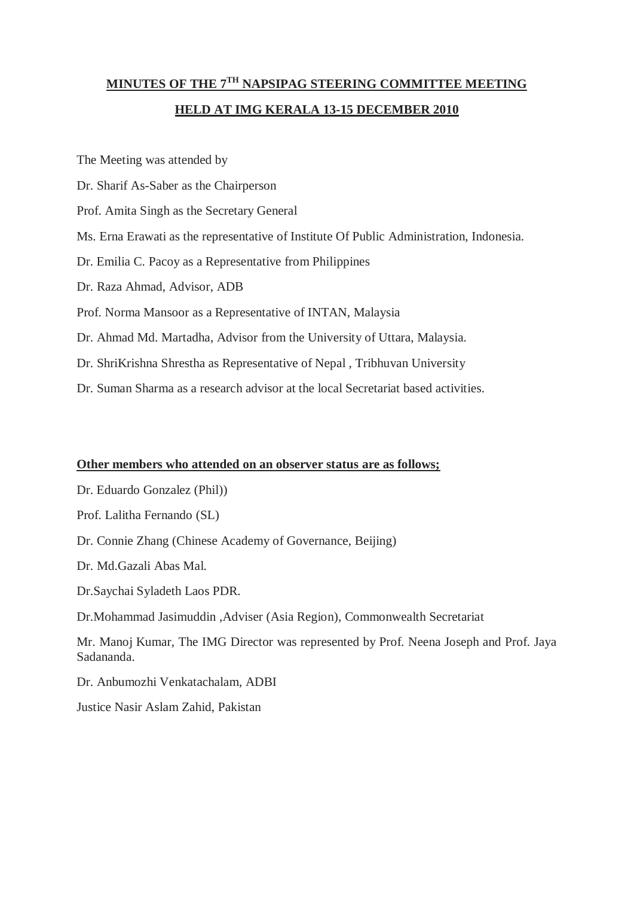## **MINUTES OF THE 7TH NAPSIPAG STEERING COMMITTEE MEETING HELD AT IMG KERALA 13-15 DECEMBER 2010**

The Meeting was attended by Dr. Sharif As-Saber as the Chairperson Prof. Amita Singh as the Secretary General Ms. Erna Erawati as the representative of Institute Of Public Administration, Indonesia. Dr. Emilia C. Pacoy as a Representative from Philippines Dr. Raza Ahmad, Advisor, ADB Prof. Norma Mansoor as a Representative of INTAN, Malaysia Dr. Ahmad Md. Martadha, Advisor from the University of Uttara, Malaysia. Dr. ShriKrishna Shrestha as Representative of Nepal , Tribhuvan University

Dr. Suman Sharma as a research advisor at the local Secretariat based activities.

## **Other members who attended on an observer status are as follows;**

Dr. Eduardo Gonzalez (Phil))

Prof. Lalitha Fernando (SL)

Dr. Connie Zhang (Chinese Academy of Governance, Beijing)

Dr. Md.Gazali Abas Mal.

Dr.Saychai Syladeth Laos PDR.

Dr.Mohammad Jasimuddin ,Adviser (Asia Region), Commonwealth Secretariat

Mr. Manoj Kumar, The IMG Director was represented by Prof. Neena Joseph and Prof. Jaya Sadananda.

Dr. Anbumozhi Venkatachalam, ADBI

Justice Nasir Aslam Zahid, Pakistan